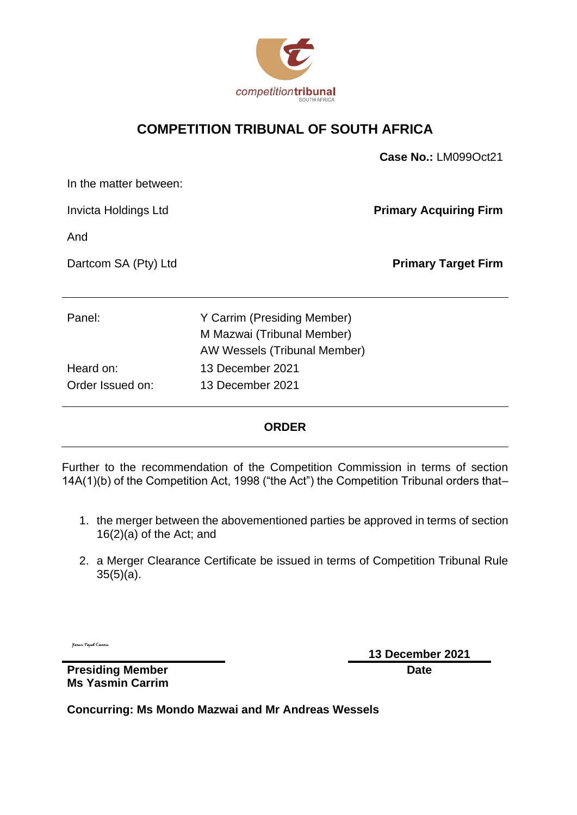

### **COMPETITION TRIBUNAL OF SOUTH AFRICA**

|                        |                              | Case No.: LM099Oct21          |
|------------------------|------------------------------|-------------------------------|
| In the matter between: |                              |                               |
| Invicta Holdings Ltd   |                              | <b>Primary Acquiring Firm</b> |
| And                    |                              |                               |
| Dartcom SA (Pty) Ltd   |                              | <b>Primary Target Firm</b>    |
|                        |                              |                               |
| Panel:                 | Y Carrim (Presiding Member)  |                               |
|                        | M Mazwai (Tribunal Member)   |                               |
|                        | AW Wessels (Tribunal Member) |                               |
| Heard on:              | 13 December 2021             |                               |
| Order Issued on:       | 13 December 2021             |                               |

### **ORDER**

Further to the recommendation of the Competition Commission in terms of section 14A(1)(b) of the Competition Act, 1998 ("the Act") the Competition Tribunal orders that–

- 1. the merger between the abovementioned parties be approved in terms of section 16(2)(a) of the Act; and
- 2. a Merger Clearance Certificate be issued in terms of Competition Tribunal Rule 35(5)(a).

y<br>asain Tayob Cannia

**13 December 2021 Date**

**Presiding Member Ms Yasmin Carrim**

**Concurring: Ms Mondo Mazwai and Mr Andreas Wessels**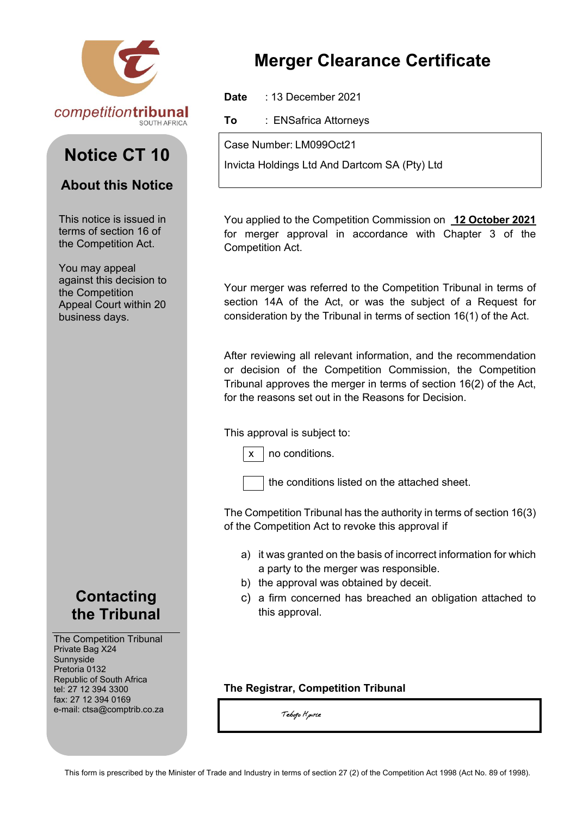

# **Notice CT 10**

### **About this Notice**

This notice is issued in terms of section 16 of the Competition Act.

You may appeal against this decision to the Competition Appeal Court within 20 business days.



The Competition Tribunal Private Bag X24 Sunnyside Pretoria 0132 Republic of South Africa tel: 27 12 394 3300 fax: 27 12 394 0169 e-mail: ctsa@comptrib.co.za

# **Merger Clearance Certificate**

**Date** : 13 December 2021

**To** : ENSafrica Attorneys

Case Number: LM099Oct21

Invicta Holdings Ltd And Dartcom SA (Pty) Ltd

You applied to the Competition Commission on **12 October 2021**  for merger approval in accordance with Chapter 3 of the Competition Act.

Your merger was referred to the Competition Tribunal in terms of section 14A of the Act, or was the subject of a Request for consideration by the Tribunal in terms of section 16(1) of the Act.

After reviewing all relevant information, and the recommendation or decision of the Competition Commission, the Competition Tribunal approves the merger in terms of section 16(2) of the Act, for the reasons set out in the Reasons for Decision.

### This approval is subject to:



 $x \mid$  no conditions.

the conditions listed on the attached sheet.

The Competition Tribunal has the authority in terms of section 16(3) of the Competition Act to revoke this approval if

- a) it was granted on the basis of incorrect information for which a party to the merger was responsible.
- b) the approval was obtained by deceit.
- c) a firm concerned has breached an obligation attached to this approval.

### **The Registrar, Competition Tribunal**

Tebogo H<sub>p</sub>urte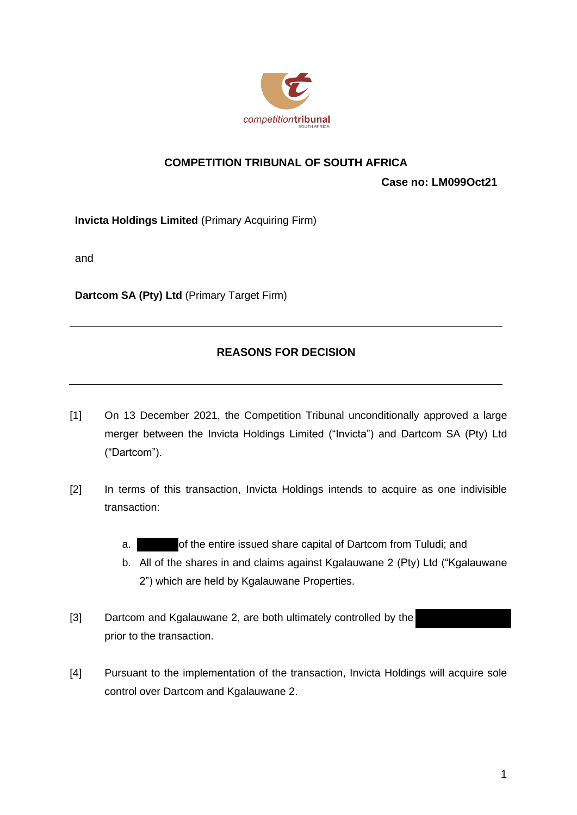

### **COMPETITION TRIBUNAL OF SOUTH AFRICA**

**Case no: LM099Oct21**

**Invicta Holdings Limited** (Primary Acquiring Firm)

and

**Dartcom SA (Pty) Ltd** (Primary Target Firm)

### **REASONS FOR DECISION**

- [1] On 13 December 2021, the Competition Tribunal unconditionally approved a large merger between the Invicta Holdings Limited ("Invicta") and Dartcom SA (Pty) Ltd ("Dartcom").
- [2] In terms of this transaction, Invicta Holdings intends to acquire as one indivisible transaction:
	- a. of the entire issued share capital of Dartcom from Tuludi; and
	- b. All of the shares in and claims against Kgalauwane 2 (Pty) Ltd ("Kgalauwane 2") which are held by Kgalauwane Properties.
- [3] Dartcom and Kgalauwane 2, are both ultimately controlled by the prior to the transaction.
- [4] Pursuant to the implementation of the transaction, Invicta Holdings will acquire sole control over Dartcom and Kgalauwane 2.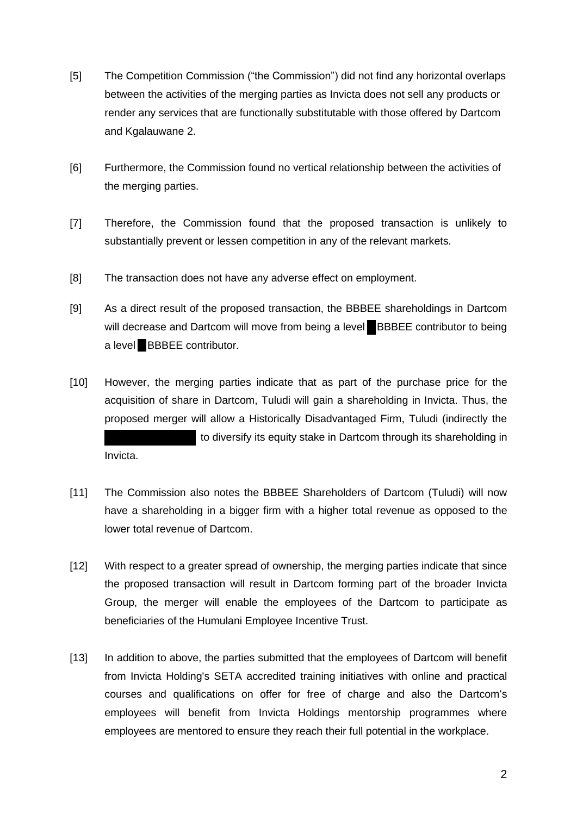- [5] The Competition Commission ("the Commission") did not find any horizontal overlaps between the activities of the merging parties as Invicta does not sell any products or render any services that are functionally substitutable with those offered by Dartcom and Kgalauwane 2.
- [6] Furthermore, the Commission found no vertical relationship between the activities of the merging parties.
- [7] Therefore, the Commission found that the proposed transaction is unlikely to substantially prevent or lessen competition in any of the relevant markets.
- [8] The transaction does not have any adverse effect on employment.
- [9] As a direct result of the proposed transaction, the BBBEE shareholdings in Dartcom will decrease and Dartcom will move from being a level **BBBEE** contributor to being a level **BBBEE** contributor.
- [10] However, the merging parties indicate that as part of the purchase price for the acquisition of share in Dartcom, Tuludi will gain a shareholding in Invicta. Thus, the proposed merger will allow a Historically Disadvantaged Firm, Tuludi (indirectly the to diversify its equity stake in Dartcom through its shareholding in Invicta.
- [11] The Commission also notes the BBBEE Shareholders of Dartcom (Tuludi) will now have a shareholding in a bigger firm with a higher total revenue as opposed to the lower total revenue of Dartcom.
- [12] With respect to a greater spread of ownership, the merging parties indicate that since the proposed transaction will result in Dartcom forming part of the broader Invicta Group, the merger will enable the employees of the Dartcom to participate as beneficiaries of the Humulani Employee Incentive Trust.
- [13] In addition to above, the parties submitted that the employees of Dartcom will benefit from Invicta Holding's SETA accredited training initiatives with online and practical courses and qualifications on offer for free of charge and also the Dartcom's employees will benefit from Invicta Holdings mentorship programmes where employees are mentored to ensure they reach their full potential in the workplace.